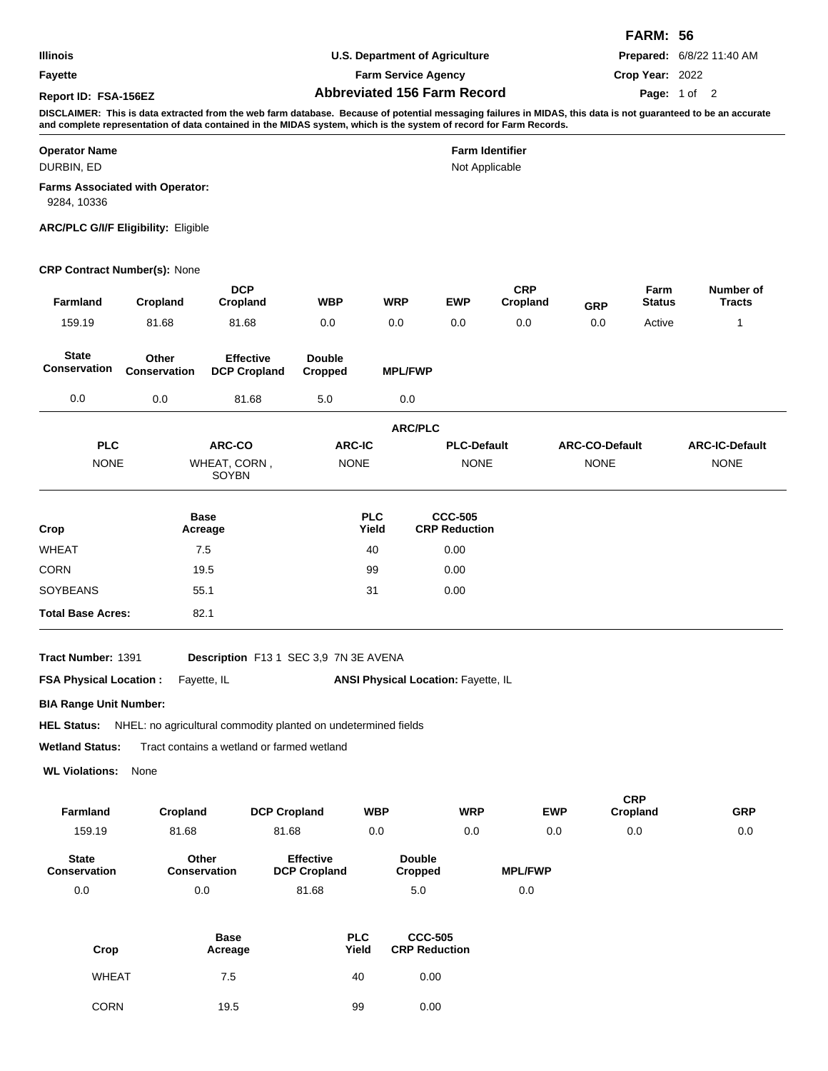|                      |                                    | <b>FARM: 56</b>                  |
|----------------------|------------------------------------|----------------------------------|
| Illinois             | U.S. Department of Agriculture     | <b>Prepared: 6/8/22 11:40 AM</b> |
| Fayette              | <b>Farm Service Agency</b>         | Crop Year: 2022                  |
| Report ID: FSA-156EZ | <b>Abbreviated 156 Farm Record</b> | Page: 1 of 2                     |

# **Operator Name Farm Identifier** Not Applicable DURBIN, ED **Farms Associated with Operator:** 9284, 10336

### **ARC/PLC G/I/F Eligibility:** Eligible

### **CRP Contract Number(s):** None

| <b>Farmland</b>              | Cropland                     | <b>DCP</b><br>Cropland                  | <b>WBP</b>               | <b>WRP</b>          | <b>EWP</b>                             | <b>CRP</b><br>Cropland | <b>GRP</b>            | Farm<br><b>Status</b> | Number of<br><b>Tracts</b> |
|------------------------------|------------------------------|-----------------------------------------|--------------------------|---------------------|----------------------------------------|------------------------|-----------------------|-----------------------|----------------------------|
| 159.19                       | 81.68                        | 81.68                                   | 0.0                      | 0.0                 | 0.0                                    | 0.0                    | 0.0                   | Active                | 1                          |
| <b>State</b><br>Conservation | Other<br><b>Conservation</b> | <b>Effective</b><br><b>DCP Cropland</b> | <b>Double</b><br>Cropped | <b>MPL/FWP</b>      |                                        |                        |                       |                       |                            |
| 0.0                          | 0.0                          | 81.68                                   | 5.0                      | 0.0                 |                                        |                        |                       |                       |                            |
|                              |                              |                                         |                          | <b>ARC/PLC</b>      |                                        |                        |                       |                       |                            |
| <b>PLC</b>                   |                              | ARC-CO                                  | <b>ARC-IC</b>            |                     | <b>PLC-Default</b>                     |                        | <b>ARC-CO-Default</b> |                       | <b>ARC-IC-Default</b>      |
| <b>NONE</b>                  |                              | WHEAT, CORN,<br>SOYBN                   | <b>NONE</b>              |                     | <b>NONE</b>                            |                        | <b>NONE</b>           |                       | <b>NONE</b>                |
| Crop                         |                              | <b>Base</b><br>Acreage                  |                          | <b>PLC</b><br>Yield | <b>CCC-505</b><br><b>CRP Reduction</b> |                        |                       |                       |                            |
| <b>WHEAT</b>                 |                              | 7.5                                     |                          | 40                  | 0.00                                   |                        |                       |                       |                            |
| <b>CORN</b>                  |                              | 19.5                                    |                          | 99                  | 0.00                                   |                        |                       |                       |                            |
| <b>SOYBEANS</b>              |                              | 55.1                                    |                          | 31                  | 0.00                                   |                        |                       |                       |                            |
| <b>Total Base Acres:</b>     |                              | 82.1                                    |                          |                     |                                        |                        |                       |                       |                            |
|                              |                              |                                         |                          |                     |                                        |                        |                       |                       |                            |

**Tract Number:**

Description F13 1 SEC 3,9 7N 3E AVENA

**FSA Physical Location :** Fayette, IL

ANSI Physical Location: Fayette, IL

**BIA Range Unit Number:**

HEL Status: NHEL: no agricultural commodity planted on undetermined fields

**Wetland Status:** Tract contains a wetland or farmed wetland

**WL Violations:** None

| <b>Farmland</b>                     | Cropland                     | <b>DCP Cropland</b>                     | <b>WBP</b>               | <b>WRP</b> | <b>EWP</b>     | <b>CRP</b><br>Cropland | <b>GRP</b> |
|-------------------------------------|------------------------------|-----------------------------------------|--------------------------|------------|----------------|------------------------|------------|
| 159.19                              | 81.68                        | 81.68                                   | 0.0                      | 0.0        | 0.0            | 0.0                    | 0.0        |
| <b>State</b><br><b>Conservation</b> | Other<br><b>Conservation</b> | <b>Effective</b><br><b>DCP Cropland</b> | <b>Double</b><br>Cropped |            | <b>MPL/FWP</b> |                        |            |
| 0.0                                 | 0.0                          | 81.68                                   | 5.0                      |            | 0.0            |                        |            |

| Crop         | <b>Base</b><br>Acreage | <b>PLC</b><br>Yield | <b>CCC-505</b><br><b>CRP Reduction</b> |
|--------------|------------------------|---------------------|----------------------------------------|
| <b>WHEAT</b> | 7.5                    | 40                  | 0.00                                   |
| <b>CORN</b>  | 19.5                   | 99                  | 0.00                                   |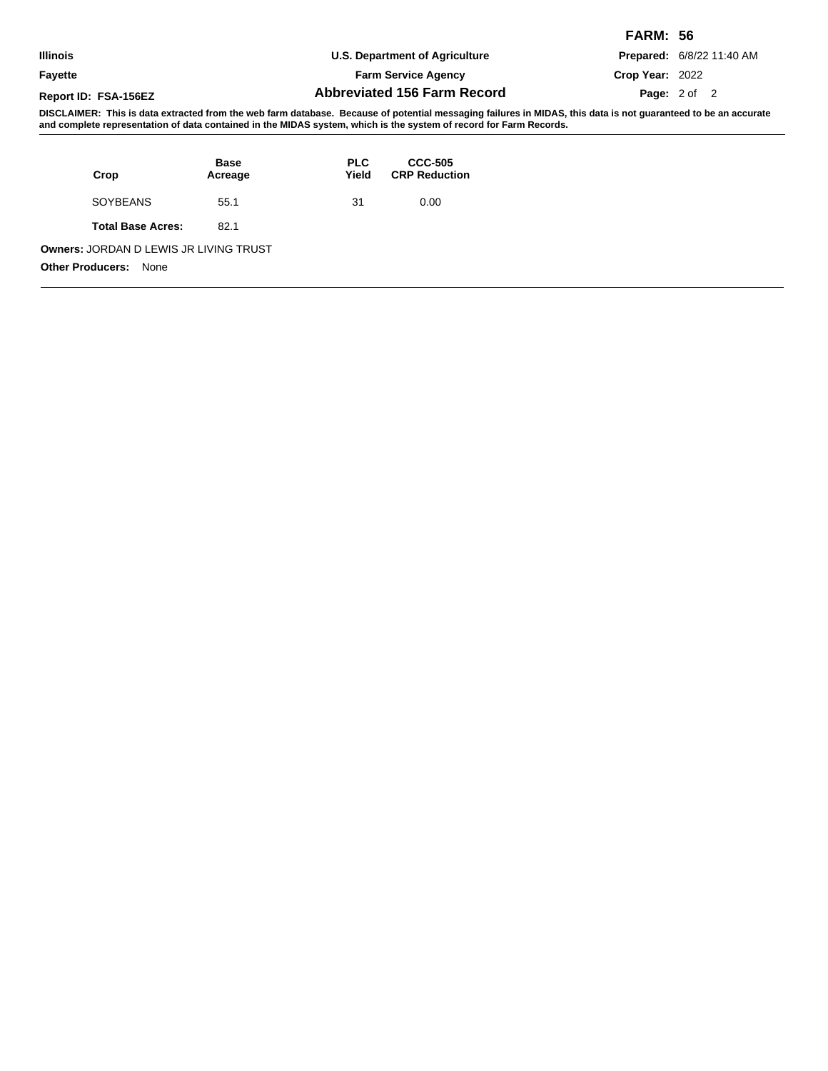|                      |                                                                                                                                                                  | <b>FARM: 56</b>                  |
|----------------------|------------------------------------------------------------------------------------------------------------------------------------------------------------------|----------------------------------|
| <b>Illinois</b>      | U.S. Department of Agriculture                                                                                                                                   | <b>Prepared: 6/8/22 11:40 AM</b> |
| <b>Fayette</b>       | <b>Farm Service Agency</b>                                                                                                                                       | Crop Year: 2022                  |
| Report ID: FSA-156EZ | <b>Abbreviated 156 Farm Record</b>                                                                                                                               | <b>Page:</b> $2 \text{ of } 2$   |
|                      | DICCLAIMED: This is dots extracted from the web form detabase. Peopuse of notestial messaging follures in MIDAC, this data is not guaranteed to be an acquirete. |                                  |

| Crop                                                                      | <b>Base</b><br>Acreage | <b>PLC</b><br>Yield | <b>CCC-505</b><br><b>CRP Reduction</b> |
|---------------------------------------------------------------------------|------------------------|---------------------|----------------------------------------|
| SOYBEANS                                                                  | 55.1                   | 31                  | 0.00                                   |
| <b>Total Base Acres:</b>                                                  | 82.1                   |                     |                                        |
| Owners: JORDAN D LEWIS JR LIVING TRUST<br><b>Other Producers:</b><br>None |                        |                     |                                        |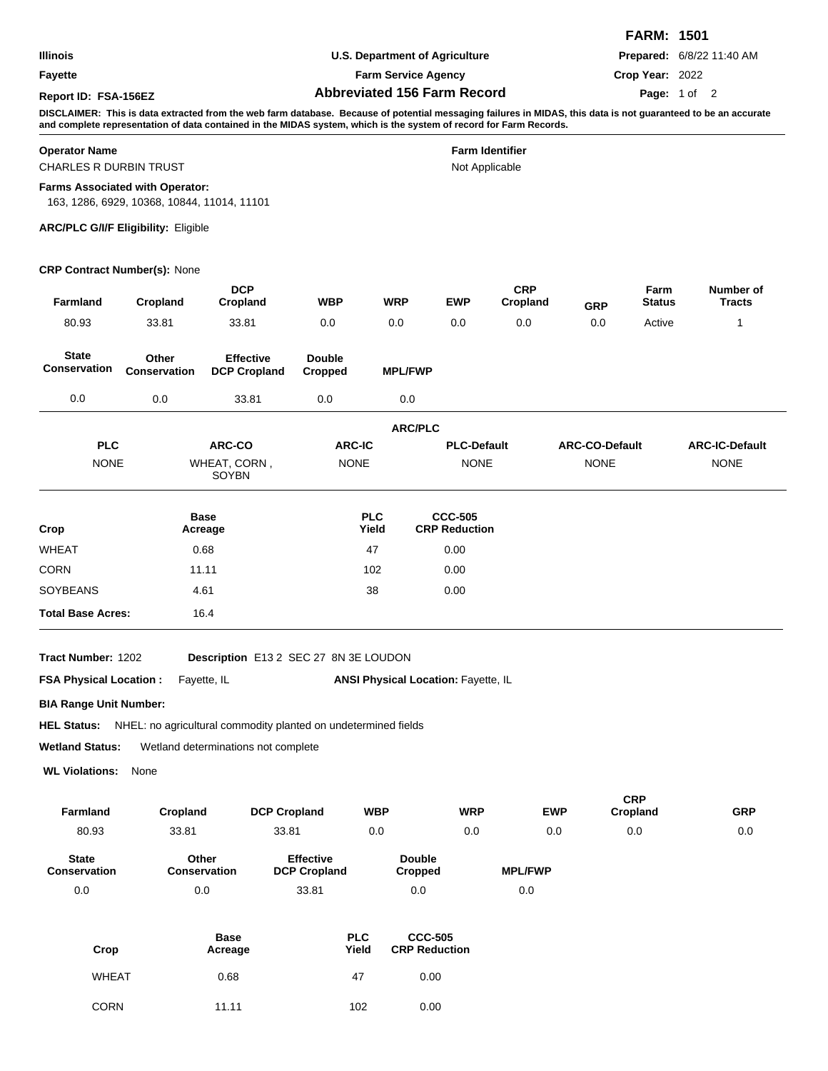|                      |                                                                                                                                                                     | <b>FARM: 1501</b>                |
|----------------------|---------------------------------------------------------------------------------------------------------------------------------------------------------------------|----------------------------------|
| <b>Illinois</b>      | U.S. Department of Agriculture                                                                                                                                      | <b>Prepared: 6/8/22 11:40 AM</b> |
| Fayette              | <b>Farm Service Agency</b>                                                                                                                                          | Crop Year: 2022                  |
| Report ID: FSA-156EZ | <b>Abbreviated 156 Farm Record</b>                                                                                                                                  | Page: 1 of 2                     |
|                      | DIOOLAIMED. This is data coincited from the cool from database. Descores of actential measurement follows in MIDAO, this data is not morement of the best corrected |                                  |

Not Applicable

#### **Operator Name Farm Identifier**

CHARLES R DURBIN TRUST

#### **Farms Associated with Operator:**

163, 1286, 6929, 10368, 10844, 11014, 11101

#### **ARC/PLC G/I/F Eligibility:** Eligible

#### **CRP Contract Number(s):** None

| Farmland                     | Cropland              | <b>DCP</b><br>Cropland                  | <b>WBP</b>               | <b>WRP</b>          | <b>EWP</b>                             | <b>CRP</b><br>Cropland | <b>GRP</b>            | Farm<br><b>Status</b> | Number of<br><b>Tracts</b> |
|------------------------------|-----------------------|-----------------------------------------|--------------------------|---------------------|----------------------------------------|------------------------|-----------------------|-----------------------|----------------------------|
| 80.93                        | 33.81                 | 33.81                                   | 0.0                      | 0.0                 | 0.0                                    | 0.0                    | 0.0                   | Active                | 1                          |
| <b>State</b><br>Conservation | Other<br>Conservation | <b>Effective</b><br><b>DCP Cropland</b> | <b>Double</b><br>Cropped | <b>MPL/FWP</b>      |                                        |                        |                       |                       |                            |
| 0.0                          | 0.0                   | 33.81                                   | 0.0                      | 0.0                 |                                        |                        |                       |                       |                            |
|                              |                       |                                         |                          |                     | <b>ARC/PLC</b>                         |                        |                       |                       |                            |
| <b>PLC</b>                   |                       | ARC-CO                                  | <b>ARC-IC</b>            |                     | <b>PLC-Default</b>                     |                        | <b>ARC-CO-Default</b> |                       | <b>ARC-IC-Default</b>      |
| <b>NONE</b>                  |                       | WHEAT, CORN,<br>SOYBN                   | <b>NONE</b>              |                     | <b>NONE</b>                            |                        | <b>NONE</b>           |                       | <b>NONE</b>                |
| Crop                         |                       | <b>Base</b><br>Acreage                  |                          | <b>PLC</b><br>Yield | <b>CCC-505</b><br><b>CRP Reduction</b> |                        |                       |                       |                            |
| <b>WHEAT</b>                 |                       | 0.68                                    |                          | 47                  | 0.00                                   |                        |                       |                       |                            |
| <b>CORN</b>                  |                       | 11.11                                   |                          | 102                 | 0.00                                   |                        |                       |                       |                            |
| <b>SOYBEANS</b>              |                       | 4.61                                    |                          | 38                  | 0.00                                   |                        |                       |                       |                            |
| <b>Total Base Acres:</b>     |                       | 16.4                                    |                          |                     |                                        |                        |                       |                       |                            |

**Tract Number:**

1202 **Description** E13 2 SEC 27 8N 3E LOUDON

**FSA Physical Location :** Fayette, IL

ANSI Physical Location: Fayette, IL

**BIA Range Unit Number:**

HEL Status: NHEL: no agricultural commodity planted on undetermined fields

**Wetland Status:** Wetland determinations not complete

**WL Violations:** None

| <b>Farmland</b>              | Cropland                     | <b>DCP Cropland</b>                     | <b>WBP</b>               | <b>WRP</b> | <b>EWP</b>     | <b>CRP</b><br>Cropland | <b>GRP</b> |
|------------------------------|------------------------------|-----------------------------------------|--------------------------|------------|----------------|------------------------|------------|
| 80.93                        | 33.81                        | 33.81                                   | 0.0                      | 0.0        | 0.0            | 0.0                    | 0.0        |
| <b>State</b><br>Conservation | Other<br><b>Conservation</b> | <b>Effective</b><br><b>DCP Cropland</b> | <b>Double</b><br>Cropped |            | <b>MPL/FWP</b> |                        |            |
| 0.0                          | 0.0                          | 33.81                                   | 0.0                      |            | 0.0            |                        |            |

| Crop         | <b>Base</b><br>Acreage | <b>PLC</b><br>Yield | <b>CCC-505</b><br><b>CRP Reduction</b> |
|--------------|------------------------|---------------------|----------------------------------------|
| <b>WHEAT</b> | 0.68                   | 47                  | 0.00                                   |
| <b>CORN</b>  | 11.11                  | 102                 | 0.00                                   |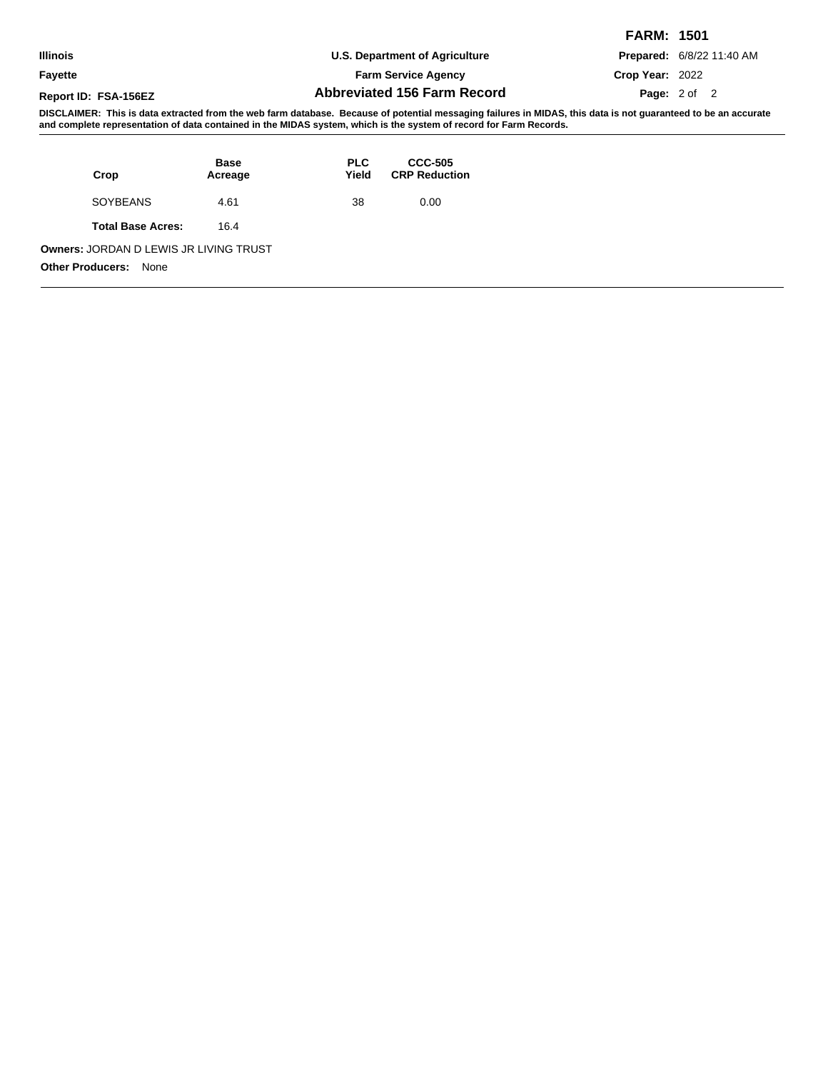|                      |                                                                                                                      | <b>FARM: 1501</b>                |
|----------------------|----------------------------------------------------------------------------------------------------------------------|----------------------------------|
| <b>Illinois</b>      | U.S. Department of Agriculture                                                                                       | <b>Prepared: 6/8/22 11:40 AM</b> |
| Fayette              | <b>Farm Service Agency</b>                                                                                           | Crop Year: 2022                  |
| Report ID: FSA-156EZ | <b>Abbreviated 156 Farm Record</b>                                                                                   | <b>Page:</b> $2 \text{ of } 2$   |
|                      | NIAALAINEN TIRRA LASSASTASSA LASSA SELLEST NYISSÄ NYISSÄ SASARITSISSA KUISSA NYISSÄ ARSIISSA SISSASSA LASTISSA SISSA |                                  |

| Crop                                                                      | <b>Base</b><br>Acreage | <b>PLC</b><br>Yield | <b>CCC-505</b><br><b>CRP Reduction</b> |
|---------------------------------------------------------------------------|------------------------|---------------------|----------------------------------------|
| SOYBEANS                                                                  | 4.61                   | 38                  | 0.00                                   |
| <b>Total Base Acres:</b>                                                  | 16.4                   |                     |                                        |
| Owners: JORDAN D LEWIS JR LIVING TRUST<br><b>Other Producers:</b><br>None |                        |                     |                                        |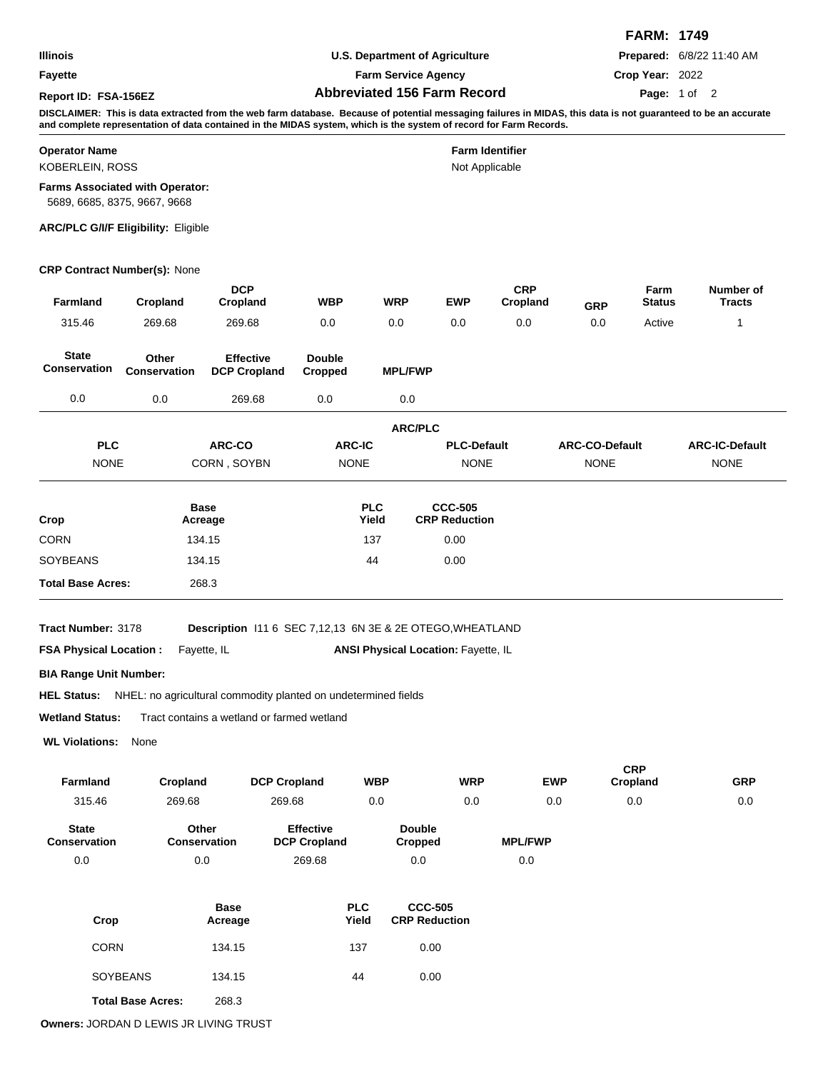**Fayette**

**U.S. Department of Agriculture**

**Farm Service Agency**

**Abbreviated 156 Farm Record Report ID: FSA-156EZ Page:**

**FARM: 1749 Prepared:** 6/8/22 11:40 AM

**Crop Year:** 2022

## Page: 1 of 2

**DISCLAIMER: This is data extracted from the web farm database. Because of potential messaging failures in MIDAS, this data is not guaranteed to be an accurate and complete representation of data contained in the MIDAS system, which is the system of record for Farm Records.**

| <b>Operator Name</b>                                                   | <b>Farm Identifier</b> |
|------------------------------------------------------------------------|------------------------|
| KOBERLEIN, ROSS                                                        | Not Applicable         |
| <b>Farms Associated with Operator:</b><br>5689, 6685, 8375, 9667, 9668 |                        |

**ARC/PLC G/I/F Eligibility:** Eligible

# **CRP Contract Number(s):** None

| Farmland                                                                             | Cropland                     | <b>DCP</b><br>Cropland                                                   | WBP                                     | WRP                                        | <b>EWP</b>                             | <b>CRP</b><br>Cropland | <b>GRP</b>            | Farm<br><b>Status</b>  | Number of<br><b>Tracts</b> |
|--------------------------------------------------------------------------------------|------------------------------|--------------------------------------------------------------------------|-----------------------------------------|--------------------------------------------|----------------------------------------|------------------------|-----------------------|------------------------|----------------------------|
| 315.46                                                                               | 269.68                       | 269.68                                                                   | 0.0                                     | 0.0                                        | 0.0                                    | 0.0                    | 0.0                   | Active                 | $\mathbf{1}$               |
| <b>State</b><br>Conservation                                                         | Other<br><b>Conservation</b> | <b>Effective</b><br><b>DCP Cropland</b>                                  | <b>Double</b><br>Cropped                | <b>MPL/FWP</b>                             |                                        |                        |                       |                        |                            |
| 0.0                                                                                  | 0.0                          | 269.68                                                                   | 0.0                                     | 0.0                                        |                                        |                        |                       |                        |                            |
|                                                                                      |                              |                                                                          |                                         | <b>ARC/PLC</b>                             |                                        |                        |                       |                        |                            |
| <b>PLC</b>                                                                           |                              | ARC-CO                                                                   | <b>ARC-IC</b>                           |                                            | <b>PLC-Default</b>                     |                        | <b>ARC-CO-Default</b> |                        | <b>ARC-IC-Default</b>      |
| <b>NONE</b>                                                                          |                              | CORN, SOYBN                                                              | <b>NONE</b>                             |                                            | <b>NONE</b>                            |                        | <b>NONE</b>           |                        | <b>NONE</b>                |
| Crop                                                                                 |                              | <b>Base</b><br>Acreage                                                   |                                         | <b>PLC</b><br>Yield                        | <b>CCC-505</b><br><b>CRP Reduction</b> |                        |                       |                        |                            |
| <b>CORN</b>                                                                          |                              | 134.15                                                                   |                                         | 137                                        | 0.00                                   |                        |                       |                        |                            |
| <b>SOYBEANS</b>                                                                      |                              | 134.15                                                                   |                                         | 44                                         | 0.00                                   |                        |                       |                        |                            |
| <b>Total Base Acres:</b>                                                             |                              | 268.3                                                                    |                                         |                                            |                                        |                        |                       |                        |                            |
| Tract Number: 3178<br><b>FSA Physical Location:</b><br><b>BIA Range Unit Number:</b> |                              | Description 111 6 SEC 7,12,13 6N 3E & 2E OTEGO, WHEATLAND<br>Fayette, IL |                                         | <b>ANSI Physical Location: Fayette, IL</b> |                                        |                        |                       |                        |                            |
| <b>HEL Status:</b>                                                                   |                              | NHEL: no agricultural commodity planted on undetermined fields           |                                         |                                            |                                        |                        |                       |                        |                            |
| <b>Wetland Status:</b>                                                               |                              | Tract contains a wetland or farmed wetland                               |                                         |                                            |                                        |                        |                       |                        |                            |
| <b>WL Violations:</b> None                                                           |                              |                                                                          |                                         |                                            |                                        |                        |                       |                        |                            |
| Farmland                                                                             | Cropland                     | <b>DCP Cropland</b>                                                      |                                         | <b>WBP</b>                                 | <b>WRP</b>                             |                        | <b>EWP</b>            | <b>CRP</b><br>Cropland | <b>GRP</b>                 |
| 315.46                                                                               | 269.68                       | 269.68                                                                   |                                         | 0.0                                        | 0.0                                    |                        | 0.0                   | 0.0                    | 0.0                        |
| <b>State</b><br>Conservation                                                         |                              | Other<br>Conservation                                                    | <b>Effective</b><br><b>DCP Cropland</b> | <b>Double</b><br><b>Cropped</b>            |                                        | <b>MPL/FWP</b>         |                       |                        |                            |
| 0.0                                                                                  |                              | 0.0                                                                      | 269.68                                  | 0.0                                        |                                        | 0.0                    |                       |                        |                            |
| Crop                                                                                 |                              | <b>Base</b><br>Acreage                                                   | <b>PLC</b><br>Yield                     |                                            | <b>CCC-505</b><br><b>CRP Reduction</b> |                        |                       |                        |                            |
| <b>CORN</b>                                                                          |                              | 134.15                                                                   | 137                                     |                                            | 0.00                                   |                        |                       |                        |                            |
|                                                                                      | <b>SOYBEANS</b>              | 134.15                                                                   | 44                                      |                                            | 0.00                                   |                        |                       |                        |                            |

**Total Base Acres:** 268.3

**Owners:** JORDAN D LEWIS JR LIVING TRUST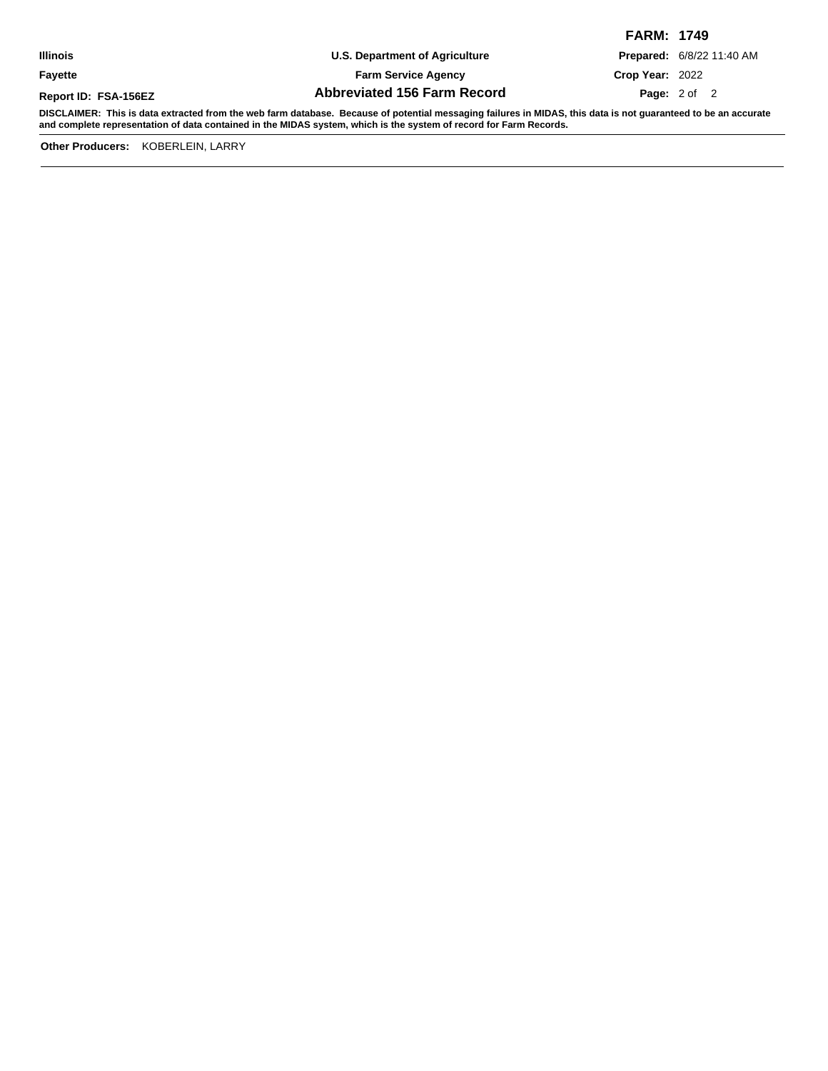**Fayette**

**U.S. Department of Agriculture**

**Farm Service Agency**

**Abbreviated 156 Farm Record Report ID: FSA-156EZ Page:**

**FARM: 1749 Prepared:** 6/8/22 11:40 AM **Crop Year:** 2022

**Page:** 2 of 2

**DISCLAIMER: This is data extracted from the web farm database. Because of potential messaging failures in MIDAS, this data is not guaranteed to be an accurate and complete representation of data contained in the MIDAS system, which is the system of record for Farm Records.**

**Other Producers:** KOBERLEIN, LARRY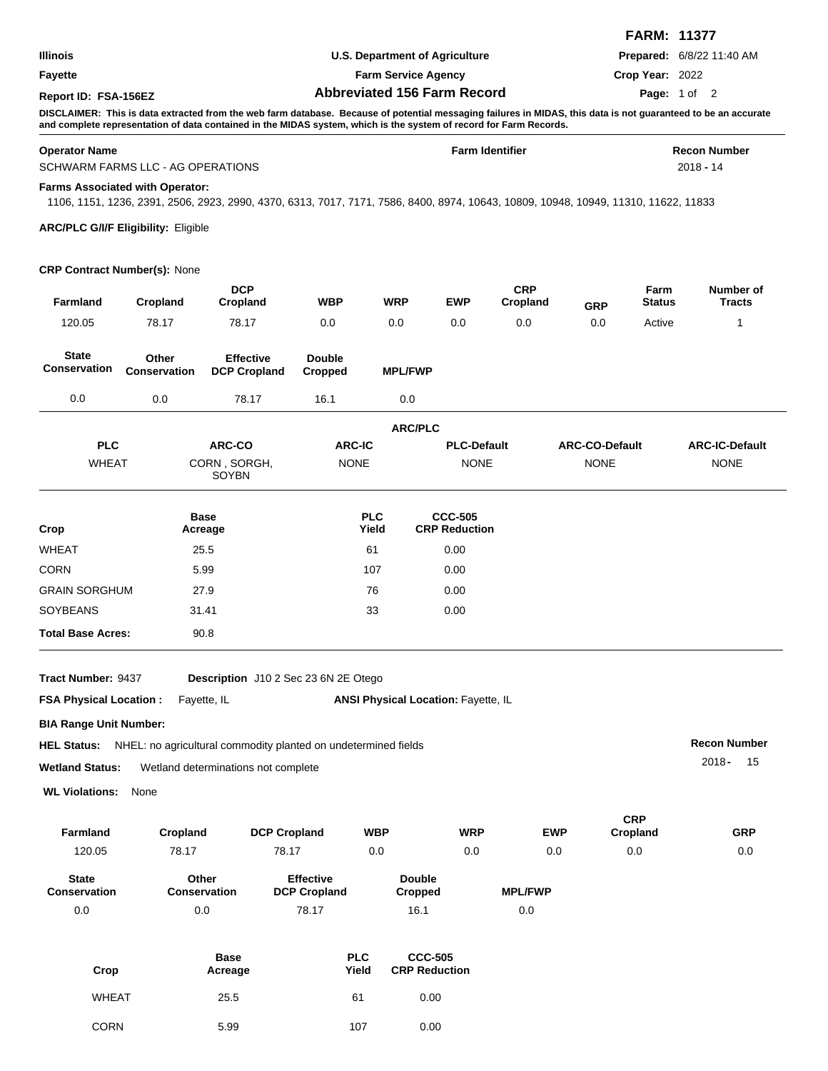|                      |                                    | <b>FARM: 11377</b>               |
|----------------------|------------------------------------|----------------------------------|
| <b>Illinois</b>      | U.S. Department of Agriculture     | <b>Prepared: 6/8/22 11:40 AM</b> |
| <b>Favette</b>       | <b>Farm Service Agency</b>         | Crop Year: 2022                  |
| Report ID: FSA-156EZ | <b>Abbreviated 156 Farm Record</b> | Page: 1 of 2                     |

#### **Operator Name Farm Identifier Recon Number** SCHWARM FARMS LLC - AG OPERATIONS 2018 - 14

**Farms Associated with Operator:**

1106, 1151, 1236, 2391, 2506, 2923, 2990, 4370, 6313, 7017, 7171, 7586, 8400, 8974, 10643, 10809, 10948, 10949, 11310, 11622, 11833

**ARC/PLC G/I/F Eligibility:** Eligible

#### **CRP Contract Number(s):** None

| <b>Farmland</b>                     | Cropland                     | <b>DCP</b><br>Cropland                  | <b>WBP</b>               | <b>WRP</b>          | <b>EWP</b>                                 | <b>CRP</b><br>Cropland | <b>GRP</b>            | Farm<br><b>Status</b> | Number of<br><b>Tracts</b> |
|-------------------------------------|------------------------------|-----------------------------------------|--------------------------|---------------------|--------------------------------------------|------------------------|-----------------------|-----------------------|----------------------------|
| 120.05                              | 78.17                        | 78.17                                   | 0.0                      | 0.0                 | 0.0                                        | 0.0                    | 0.0                   | Active                | 1                          |
| <b>State</b><br><b>Conservation</b> | Other<br><b>Conservation</b> | <b>Effective</b><br><b>DCP Cropland</b> | <b>Double</b><br>Cropped | <b>MPL/FWP</b>      |                                            |                        |                       |                       |                            |
| 0.0                                 | 0.0                          | 78.17                                   | 16.1                     | 0.0                 |                                            |                        |                       |                       |                            |
|                                     |                              |                                         |                          | <b>ARC/PLC</b>      |                                            |                        |                       |                       |                            |
| <b>PLC</b>                          |                              | ARC-CO                                  | <b>ARC-IC</b>            |                     | <b>PLC-Default</b>                         |                        | <b>ARC-CO-Default</b> |                       | <b>ARC-IC-Default</b>      |
| <b>WHEAT</b>                        |                              | CORN, SORGH,<br>SOYBN                   | <b>NONE</b>              |                     | <b>NONE</b>                                |                        | <b>NONE</b>           |                       | <b>NONE</b>                |
| Crop                                |                              | <b>Base</b><br>Acreage                  |                          | <b>PLC</b><br>Yield | <b>CCC-505</b><br><b>CRP Reduction</b>     |                        |                       |                       |                            |
| <b>WHEAT</b>                        |                              | 25.5                                    |                          | 61                  | 0.00                                       |                        |                       |                       |                            |
| <b>CORN</b>                         |                              | 5.99                                    |                          | 107                 | 0.00                                       |                        |                       |                       |                            |
| <b>GRAIN SORGHUM</b>                |                              | 27.9                                    |                          | 76                  | 0.00                                       |                        |                       |                       |                            |
| <b>SOYBEANS</b>                     |                              | 31.41                                   |                          | 33                  | 0.00                                       |                        |                       |                       |                            |
| <b>Total Base Acres:</b>            |                              | 90.8                                    |                          |                     |                                            |                        |                       |                       |                            |
| Tract Number: 9437                  |                              | Description J10 2 Sec 23 6N 2E Otego    |                          |                     |                                            |                        |                       |                       |                            |
| <b>FSA Physical Location:</b>       |                              | Fayette, IL                             |                          |                     | <b>ANSI Physical Location: Fayette, IL</b> |                        |                       |                       |                            |
|                                     |                              |                                         |                          |                     |                                            |                        |                       |                       |                            |

**BIA Range Unit Number:**

|                        | <b>HEL Status:</b> NHEL: no agricultural commodity planted on undetermined fields | <b>Recon Number</b> |
|------------------------|-----------------------------------------------------------------------------------|---------------------|
| <b>Wetland Status:</b> | Wetland determinations not complete                                               | 2018 -<br>- 15      |

**WL Violations:** None

| <b>Farmland</b>                     | Cropland              | <b>DCP Cropland</b>                     | <b>WBP</b>               | <b>WRP</b> | <b>EWP</b>     | <b>CRP</b><br>Cropland | <b>GRP</b> |
|-------------------------------------|-----------------------|-----------------------------------------|--------------------------|------------|----------------|------------------------|------------|
| 120.05                              | 78.17                 | 78.17                                   | 0.0                      | 0.0        | 0.0            | 0.0                    | 0.0        |
| <b>State</b><br><b>Conservation</b> | Other<br>Conservation | <b>Effective</b><br><b>DCP Cropland</b> | <b>Double</b><br>Cropped |            | <b>MPL/FWP</b> |                        |            |
| 0.0                                 | 0.0                   | 78.17                                   | 16.1                     |            | 0.0            |                        |            |

| Crop         | <b>Base</b><br>Acreage | <b>PLC</b><br>Yield | <b>CCC-505</b><br><b>CRP Reduction</b> |
|--------------|------------------------|---------------------|----------------------------------------|
| <b>WHEAT</b> | 25.5                   | 61                  | 0.00                                   |
| <b>CORN</b>  | 5.99                   | 107                 | 0.00                                   |

0.0 0.0 78.17 16.1